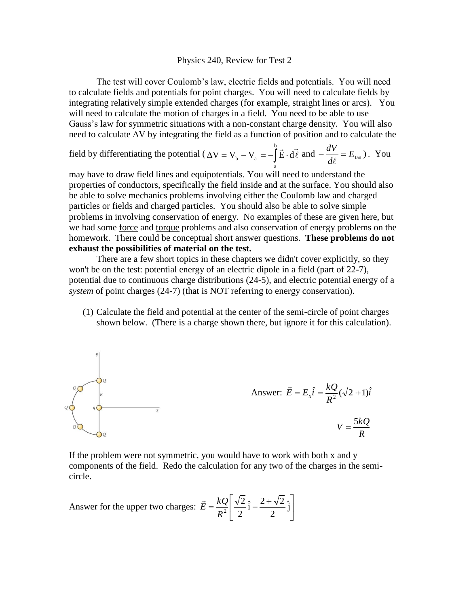## Physics 240, Review for Test 2

The test will cover Coulomb's law, electric fields and potentials. You will need to calculate fields and potentials for point charges. You will need to calculate fields by integrating relatively simple extended charges (for example, straight lines or arcs). You will need to calculate the motion of charges in a field. You need to be able to use Gauss's law for symmetric situations with a non-constant charge density. You will also need to calculate ΔV by integrating the field as a function of position and to calculate the

field by differentiating the potential ( $\Delta V = V_b - V_a = -\int \vec{E} \cdot$ b a  $V = V_b - V_a = -\frac{\dot{E} \cdot d\ell}{2}$  $\overline{z}$   $\overline{z}$ and  $-\frac{dV}{d\ell} = E_{\text{tan}}$  $\ell$ ) . You

may have to draw field lines and equipotentials. You will need to understand the properties of conductors, specifically the field inside and at the surface. You should also be able to solve mechanics problems involving either the Coulomb law and charged particles or fields and charged particles. You should also be able to solve simple problems in involving conservation of energy. No examples of these are given here, but we had some force and torque problems and also conservation of energy problems on the homework. There could be conceptual short answer questions. **These problems do not exhaust the possibilities of material on the test.**

There are a few short topics in these chapters we didn't cover explicitly, so they won't be on the test: potential energy of an electric dipole in a field (part of 22-7), potential due to continuous charge distributions (24-5), and electric potential energy of a *system* of point charges (24-7) (that is NOT referring to energy conservation).

(1) Calculate the field and potential at the center of the semi-circle of point charges shown below. (There is a charge shown there, but ignore it for this calculation).



If the problem were not symmetric, you would have to work with both x and y components of the field. Redo the calculation for any two of the charges in the semicircle.

Answer for the upper two charges:  $\vec{E} = \frac{kQ}{R^2} \left[ \frac{\sqrt{2}}{2} \hat{i} - \frac{Z + \sqrt{2}}{2} \hat{j} \right]$  $\overline{\phantom{a}}$ 1  $\overline{ }$ L  $=\frac{kQ}{\overline{Q}}\left[\frac{\sqrt{2}}{2}\hat{i}-\frac{2+\sqrt{2}}{2}\hat{j}\right]$ 2  $\hat{i} - \frac{2 + \sqrt{2}}{2}$ 2 2  $R^2$  $\vec{E} = \frac{kQ}{R^2}$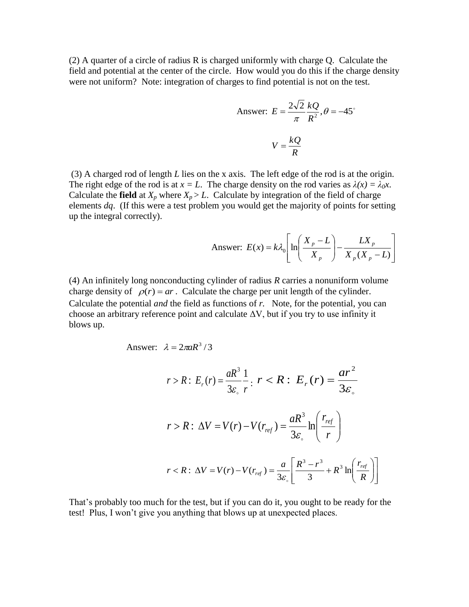(2) A quarter of a circle of radius R is charged uniformly with charge Q. Calculate the field and potential at the center of the circle. How would you do this if the charge density were not uniform? Note: integration of charges to find potential is not on the test.

Answer: 
$$
E = \frac{2\sqrt{2}}{\pi} \frac{kQ}{R^2}
$$
,  $\theta = -45^\circ$   

$$
V = \frac{kQ}{R}
$$

(3) A charged rod of length *L* lies on the x axis. The left edge of the rod is at the origin. The right edge of the rod is at  $x = L$ . The charge density on the rod varies as  $\lambda(x) = \lambda_0 x$ . Calculate the **field** at  $X_p$  where  $X_p > L$ . Calculate by integration of the field of charge elements *dq*. (If this were a test problem you would get the majority of points for setting up the integral correctly).

Answer: 
$$
E(x) = k\lambda_0 \left[ ln \left( \frac{X_p - L}{X_p} \right) - \frac{LX_p}{X_p(X_p - L)} \right]
$$

(4) An infinitely long nonconducting cylinder of radius *R* carries a nonuniform volume charge density of  $\rho(r) = ar$ . Calculate the charge per unit length of the cylinder. Calculate the potential *and* the field as functions of *r.* Note, for the potential, you can choose an arbitrary reference point and calculate  $\Delta V$ , but if you try to use infinity it blows up.

Answer: 
$$
\lambda = 2\pi aR^3/3
$$

$$
r > R: E_r(r) = \frac{aR^3}{3\varepsilon_o} \frac{1}{r}: r < R: E_r(r) = \frac{ar^2}{3\varepsilon_o}
$$
  

$$
r > R: \Delta V = V(r) - V(r_{ref}) = \frac{aR^3}{3\varepsilon_o} \ln\left(\frac{r_{ref}}{r}\right)
$$
  

$$
r < R: \Delta V = V(r) - V(r_{ref}) = \frac{a}{3\varepsilon_o} \left[\frac{R^3 - r^3}{3} + R^3 \ln\left(\frac{r_{ref}}{R}\right)\right]
$$

That's probably too much for the test, but if you can do it, you ought to be ready for the test! Plus, I won't give you anything that blows up at unexpected places.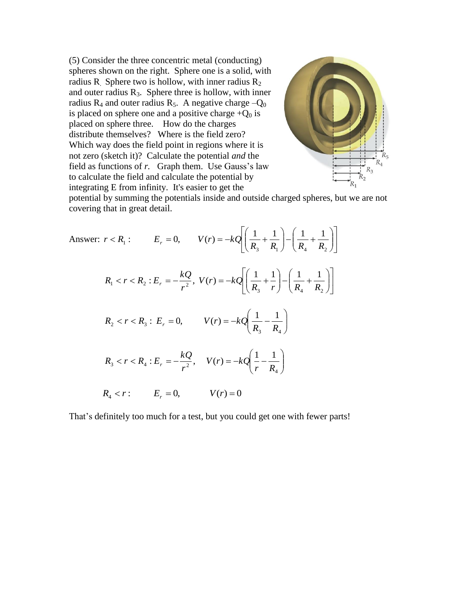(5) Consider the three concentric metal (conducting) spheres shown on the right. Sphere one is a solid, with radius R<sub>2</sub> Sphere two is hollow, with inner radius  $R_2$ and outer radius  $R_3$ . Sphere three is hollow, with inner radius  $R_4$  and outer radius  $R_5$ . A negative charge  $-Q_0$ is placed on sphere one and a positive charge  $+Q_0$  is placed on sphere three. How do the charges distribute themselves? Where is the field zero? Which way does the field point in regions where it is not zero (sketch it)? Calculate the potential *and* the field as functions of *r.* Graph them. Use Gauss's law to calculate the field and calculate the potential by integrating E from infinity. It's easier to get the



potential by summing the potentials inside and outside charged spheres, but we are not covering that in great detail.

Answer: 
$$
r < R_1
$$
:  $E_r = 0$ ,  $V(r) = -kQ \left[ \left( \frac{1}{R_3} + \frac{1}{R_1} \right) - \left( \frac{1}{R_4} + \frac{1}{R_2} \right) \right]$   
\n $R_1 < r < R_2$ :  $E_r = -\frac{kQ}{r^2}$ ,  $V(r) = -kQ \left[ \left( \frac{1}{R_3} + \frac{1}{r} \right) - \left( \frac{1}{R_4} + \frac{1}{R_2} \right) \right]$   
\n $R_2 < r < R_3$ :  $E_r = 0$ ,  $V(r) = -kQ \left( \frac{1}{R_3} - \frac{1}{R_4} \right)$   
\n $R_3 < r < R_4$ :  $E_r = -\frac{kQ}{r^2}$ ,  $V(r) = -kQ \left( \frac{1}{r} - \frac{1}{R_4} \right)$   
\n $R_4 < r$ :  $E_r = 0$ ,  $V(r) = 0$ 

That's definitely too much for a test, but you could get one with fewer parts!